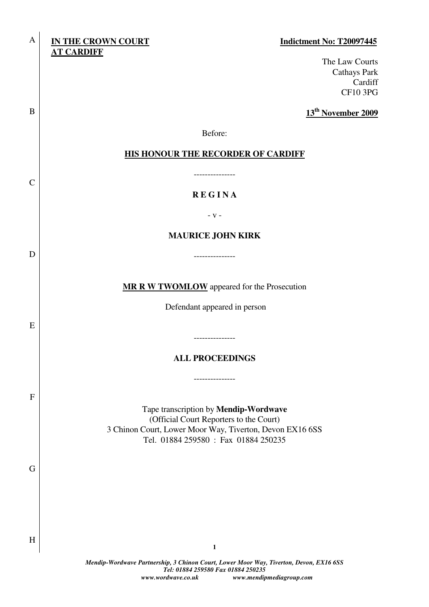# **IN THE CROWN COURT Indictment No: T20097445 AT CARDIFF**

A

B

C

D

E

F

G

H

The Law Courts Cathays Park Cardiff CF10 3PG

**13th November 2009**

Before:

### **HIS HONOUR THE RECORDER OF CARDIFF**

---------------

## **R E G I N A**

- v -

### **MAURICE JOHN KIRK**

---------------

**MR R W TWOMLOW** appeared for the Prosecution

Defendant appeared in person

**ALL PROCEEDINGS** 

---------------

---------------

Tape transcription by **Mendip-Wordwave** (Official Court Reporters to the Court) 3 Chinon Court, Lower Moor Way, Tiverton, Devon EX16 6SS Tel. 01884 259580 : Fax 01884 250235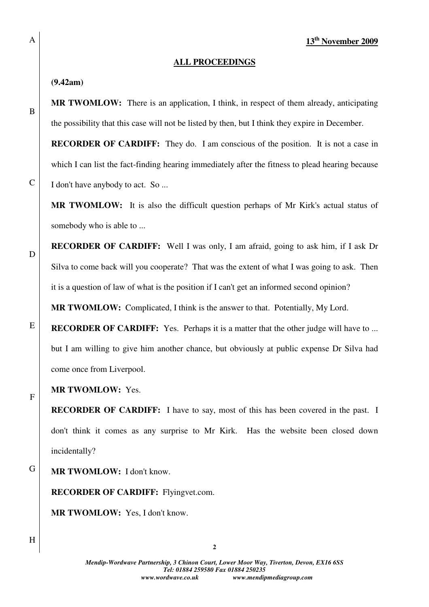### **ALL PROCEEDINGS**

### **(9.42am)**

**MR TWOMLOW:** There is an application, I think, in respect of them already, anticipating the possibility that this case will not be listed by then, but I think they expire in December.

**RECORDER OF CARDIFF:** They do. I am conscious of the position. It is not a case in which I can list the fact-finding hearing immediately after the fitness to plead hearing because I don't have anybody to act. So ...

**MR TWOMLOW:** It is also the difficult question perhaps of Mr Kirk's actual status of somebody who is able to ...

**RECORDER OF CARDIFF:** Well I was only, I am afraid, going to ask him, if I ask Dr Silva to come back will you cooperate? That was the extent of what I was going to ask. Then it is a question of law of what is the position if I can't get an informed second opinion?

**MR TWOMLOW:** Complicated, I think is the answer to that. Potentially, My Lord.

**RECORDER OF CARDIFF:** Yes. Perhaps it is a matter that the other judge will have to ... but I am willing to give him another chance, but obviously at public expense Dr Silva had come once from Liverpool.

**MR TWOMLOW:** Yes.

**RECORDER OF CARDIFF:** I have to say, most of this has been covered in the past. I don't think it comes as any surprise to Mr Kirk. Has the website been closed down incidentally?

G **MR TWOMLOW:** I don't know.

**RECORDER OF CARDIFF:** Flyingvet.com.

**MR TWOMLOW:** Yes, I don't know.

B

A

D

C



E

F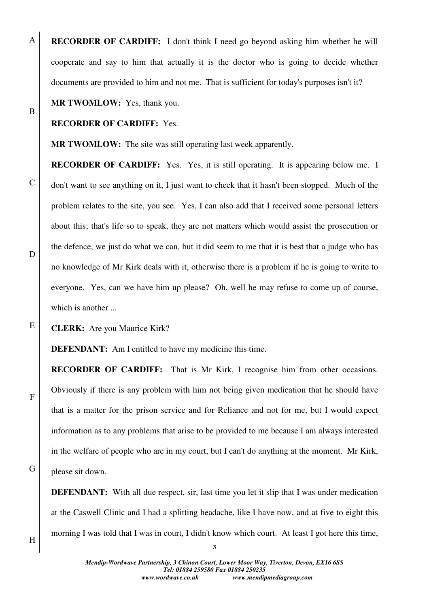**RECORDER OF CARDIFF:** I don't think I need go beyond asking him whether he will cooperate and say to him that actually it is the doctor who is going to decide whether documents are provided to him and not me. That is sufficient for today's purposes isn't it?

# **MR TWOMLOW:** Yes, thank you.

### **RECORDER OF CARDIFF:** Yes.

**MR TWOMLOW:** The site was still operating last week apparently.

**RECORDER OF CARDIFF:** Yes. Yes, it is still operating. It is appearing below me. I don't want to see anything on it, I just want to check that it hasn't been stopped. Much of the problem relates to the site, you see. Yes, I can also add that I received some personal letters about this; that's life so to speak, they are not matters which would assist the prosecution or the defence, we just do what we can, but it did seem to me that it is best that a judge who has no knowledge of Mr Kirk deals with it, otherwise there is a problem if he is going to write to everyone. Yes, can we have him up please? Oh, well he may refuse to come up of course, which is another ...

D

A

B

C

E

F

**CLERK:** Are you Maurice Kirk?

**DEFENDANT:** Am I entitled to have my medicine this time.

**RECORDER OF CARDIFF:** That is Mr Kirk, I recognise him from other occasions. Obviously if there is any problem with him not being given medication that he should have that is a matter for the prison service and for Reliance and not for me, but I would expect information as to any problems that arise to be provided to me because I am always interested in the welfare of people who are in my court, but I can't do anything at the moment. Mr Kirk, please sit down.

**DEFENDANT:** With all due respect, sir, last time you let it slip that I was under medication at the Caswell Clinic and I had a splitting headache, like I have now, and at five to eight this morning I was told that I was in court, I didn't know which court. At least I got here this time,

H

G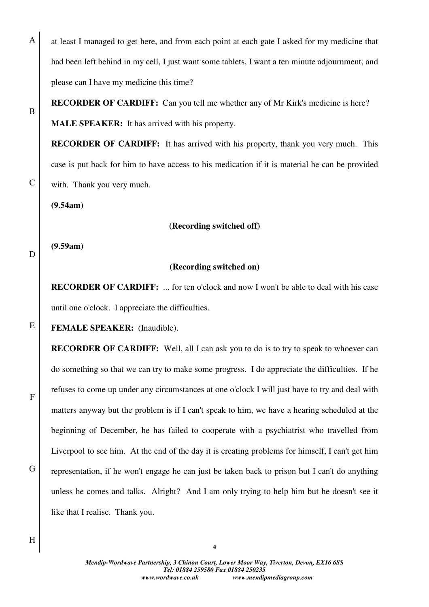at least I managed to get here, and from each point at each gate I asked for my medicine that had been left behind in my cell, I just want some tablets, I want a ten minute adjournment, and please can I have my medicine this time?

**RECORDER OF CARDIFF:** Can you tell me whether any of Mr Kirk's medicine is here?

**MALE SPEAKER:** It has arrived with his property.

**RECORDER OF CARDIFF:** It has arrived with his property, thank you very much. This case is put back for him to have access to his medication if it is material he can be provided with. Thank you very much.

**(9.54am)** 

**(9.59am)** 

### **(Recording switched off)**

D

E

F

G

A

B

C

### **(Recording switched on)**

**RECORDER OF CARDIFF:** ... for ten o'clock and now I won't be able to deal with his case until one o'clock. I appreciate the difficulties.

**FEMALE SPEAKER:** (Inaudible).

**RECORDER OF CARDIFF:** Well, all I can ask you to do is to try to speak to whoever can do something so that we can try to make some progress. I do appreciate the difficulties. If he refuses to come up under any circumstances at one o'clock I will just have to try and deal with matters anyway but the problem is if I can't speak to him, we have a hearing scheduled at the beginning of December, he has failed to cooperate with a psychiatrist who travelled from Liverpool to see him. At the end of the day it is creating problems for himself, I can't get him representation, if he won't engage he can just be taken back to prison but I can't do anything unless he comes and talks. Alright? And I am only trying to help him but he doesn't see it like that I realise. Thank you.

H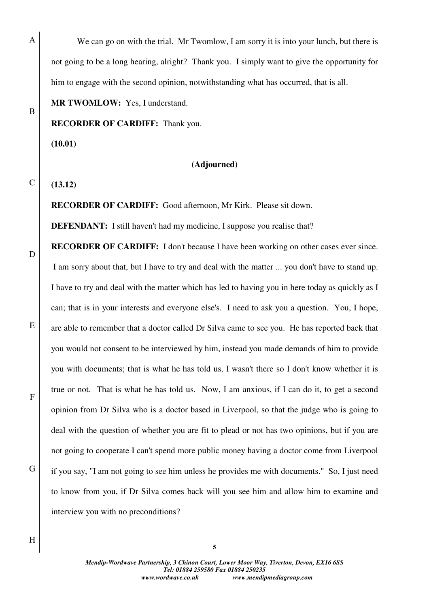We can go on with the trial. Mr Twomlow, I am sorry it is into your lunch, but there is not going to be a long hearing, alright? Thank you. I simply want to give the opportunity for him to engage with the second opinion, notwithstanding what has occurred, that is all.

### **MR TWOMLOW:** Yes, I understand.

### **RECORDER OF CARDIFF:** Thank you.

**(10.01)** 

A

B

C

D

E

F

G

### **(Adjourned)**

**(13.12)** 

**RECORDER OF CARDIFF:** Good afternoon, Mr Kirk. Please sit down.

**DEFENDANT:** I still haven't had my medicine, I suppose you realise that?

**RECORDER OF CARDIFF:** I don't because I have been working on other cases ever since. I am sorry about that, but I have to try and deal with the matter ... you don't have to stand up. I have to try and deal with the matter which has led to having you in here today as quickly as I can; that is in your interests and everyone else's. I need to ask you a question. You, I hope, are able to remember that a doctor called Dr Silva came to see you. He has reported back that you would not consent to be interviewed by him, instead you made demands of him to provide you with documents; that is what he has told us, I wasn't there so I don't know whether it is true or not. That is what he has told us. Now, I am anxious, if I can do it, to get a second opinion from Dr Silva who is a doctor based in Liverpool, so that the judge who is going to deal with the question of whether you are fit to plead or not has two opinions, but if you are not going to cooperate I can't spend more public money having a doctor come from Liverpool if you say, "I am not going to see him unless he provides me with documents." So, I just need to know from you, if Dr Silva comes back will you see him and allow him to examine and interview you with no preconditions?

*Mendip-Wordwave Partnership, 3 Chinon Court, Lower Moor Way, Tiverton, Devon, EX16 6SS Tel: 01884 259580 Fax 01884 250235 www.wordwave.co.uk www.mendipmediagroup.com*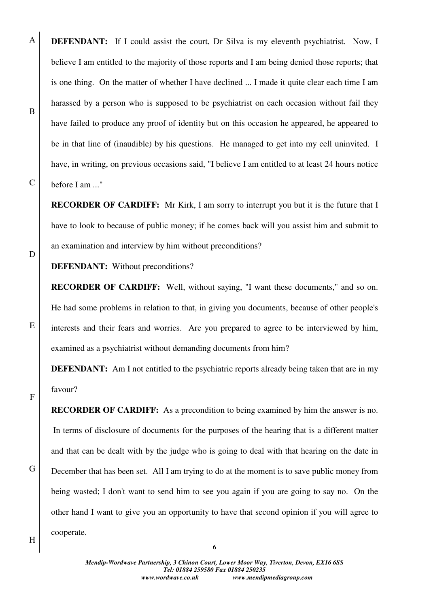**DEFENDANT:** If I could assist the court, Dr Silva is my eleventh psychiatrist. Now, I believe I am entitled to the majority of those reports and I am being denied those reports; that is one thing. On the matter of whether I have declined ... I made it quite clear each time I am harassed by a person who is supposed to be psychiatrist on each occasion without fail they have failed to produce any proof of identity but on this occasion he appeared, he appeared to be in that line of (inaudible) by his questions. He managed to get into my cell uninvited. I have, in writing, on previous occasions said, "I believe I am entitled to at least 24 hours notice before I am ..."

**RECORDER OF CARDIFF:** Mr Kirk, I am sorry to interrupt you but it is the future that I have to look to because of public money; if he comes back will you assist him and submit to an examination and interview by him without preconditions?

**DEFENDANT:** Without preconditions?

**RECORDER OF CARDIFF:** Well, without saying, "I want these documents," and so on. He had some problems in relation to that, in giving you documents, because of other people's interests and their fears and worries. Are you prepared to agree to be interviewed by him, examined as a psychiatrist without demanding documents from him?

**DEFENDANT:** Am I not entitled to the psychiatric reports already being taken that are in my favour?

**RECORDER OF CARDIFF:** As a precondition to being examined by him the answer is no. In terms of disclosure of documents for the purposes of the hearing that is a different matter and that can be dealt with by the judge who is going to deal with that hearing on the date in December that has been set. All I am trying to do at the moment is to save public money from being wasted; I don't want to send him to see you again if you are going to say no. On the other hand I want to give you an opportunity to have that second opinion if you will agree to cooperate.

E

F

A

B

C

D

G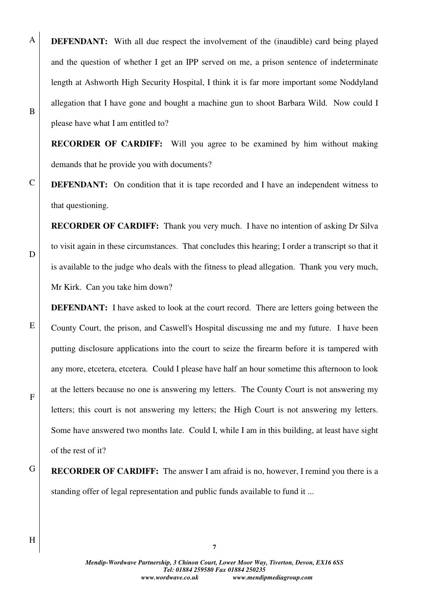**DEFENDANT:** With all due respect the involvement of the (inaudible) card being played and the question of whether I get an IPP served on me, a prison sentence of indeterminate length at Ashworth High Security Hospital, I think it is far more important some Noddyland allegation that I have gone and bought a machine gun to shoot Barbara Wild. Now could I please have what I am entitled to?

**RECORDER OF CARDIFF:** Will you agree to be examined by him without making demands that he provide you with documents?

**DEFENDANT:** On condition that it is tape recorded and I have an independent witness to that questioning.

**RECORDER OF CARDIFF:** Thank you very much. I have no intention of asking Dr Silva to visit again in these circumstances. That concludes this hearing; I order a transcript so that it is available to the judge who deals with the fitness to plead allegation. Thank you very much, Mr Kirk. Can you take him down?

**DEFENDANT:** I have asked to look at the court record. There are letters going between the County Court, the prison, and Caswell's Hospital discussing me and my future. I have been putting disclosure applications into the court to seize the firearm before it is tampered with any more, etcetera, etcetera. Could I please have half an hour sometime this afternoon to look at the letters because no one is answering my letters. The County Court is not answering my letters; this court is not answering my letters; the High Court is not answering my letters. Some have answered two months late. Could I, while I am in this building, at least have sight of the rest of it?

G **RECORDER OF CARDIFF:** The answer I am afraid is no, however, I remind you there is a standing offer of legal representation and public funds available to fund it ...

**7**

*Mendip-Wordwave Partnership, 3 Chinon Court, Lower Moor Way, Tiverton, Devon, EX16 6SS Tel: 01884 259580 Fax 01884 250235 www.wordwave.co.uk www.mendipmediagroup.com* 

H

A

B

C

D

E

F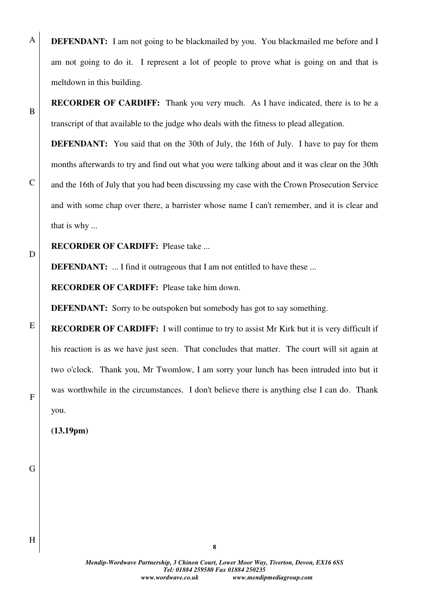**DEFENDANT:** I am not going to be blackmailed by you. You blackmailed me before and I am not going to do it. I represent a lot of people to prove what is going on and that is meltdown in this building.

**RECORDER OF CARDIFF:** Thank you very much. As I have indicated, there is to be a transcript of that available to the judge who deals with the fitness to plead allegation.

**DEFENDANT:** You said that on the 30th of July, the 16th of July. I have to pay for them months afterwards to try and find out what you were talking about and it was clear on the 30th and the 16th of July that you had been discussing my case with the Crown Prosecution Service and with some chap over there, a barrister whose name I can't remember, and it is clear and that is why ...

D

E

F

A

B

C

**RECORDER OF CARDIFF:** Please take ...

**DEFENDANT:** ... I find it outrageous that I am not entitled to have these ...

**RECORDER OF CARDIFF:** Please take him down.

**DEFENDANT:** Sorry to be outspoken but somebody has got to say something.

**RECORDER OF CARDIFF:** I will continue to try to assist Mr Kirk but it is very difficult if his reaction is as we have just seen. That concludes that matter. The court will sit again at two o'clock. Thank you, Mr Twomlow, I am sorry your lunch has been intruded into but it was worthwhile in the circumstances. I don't believe there is anything else I can do. Thank you.

**(13.19pm)** 

G

H

*Mendip-Wordwave Partnership, 3 Chinon Court, Lower Moor Way, Tiverton, Devon, EX16 6SS Tel: 01884 259580 Fax 01884 250235 www.wordwave.co.uk www.mendipmediagroup.com*